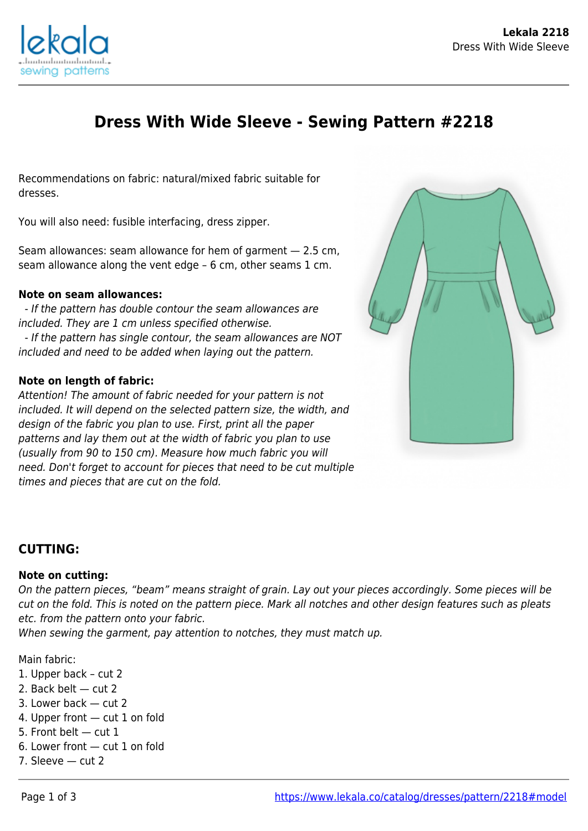

# **Dress With Wide Sleeve - Sewing Pattern #2218**

Recommendations on fabric: natural/mixed fabric suitable for dresses.

You will also need: fusible interfacing, dress zipper.

Seam allowances: seam allowance for hem of garment — 2.5 cm, seam allowance along the vent edge – 6 cm, other seams 1 cm.

#### **Note on seam allowances:**

 - If the pattern has double contour the seam allowances are included. They are 1 cm unless specified otherwise. - If the pattern has single contour, the seam allowances are NOT included and need to be added when laying out the pattern.

#### **Note on length of fabric:**

Attention! The amount of fabric needed for your pattern is not included. It will depend on the selected pattern size, the width, and design of the fabric you plan to use. First, print all the paper patterns and lay them out at the width of fabric you plan to use (usually from 90 to 150 cm). Measure how much fabric you will need. Don't forget to account for pieces that need to be cut multiple times and pieces that are cut on the fold.



#### **CUTTING:**

#### **Note on cutting:**

On the pattern pieces, "beam" means straight of grain. Lay out your pieces accordingly. Some pieces will be cut on the fold. This is noted on the pattern piece. Mark all notches and other design features such as pleats etc. from the pattern onto your fabric.

When sewing the garment, pay attention to notches, they must match up.

Main fabric:

- 1. Upper back cut 2
- 2. Back belt cut 2
- 3. Lower back cut 2
- 4. Upper front cut 1 on fold
- 5. Front belt cut 1
- 6. Lower front cut 1 on fold
- 7. Sleeve cut 2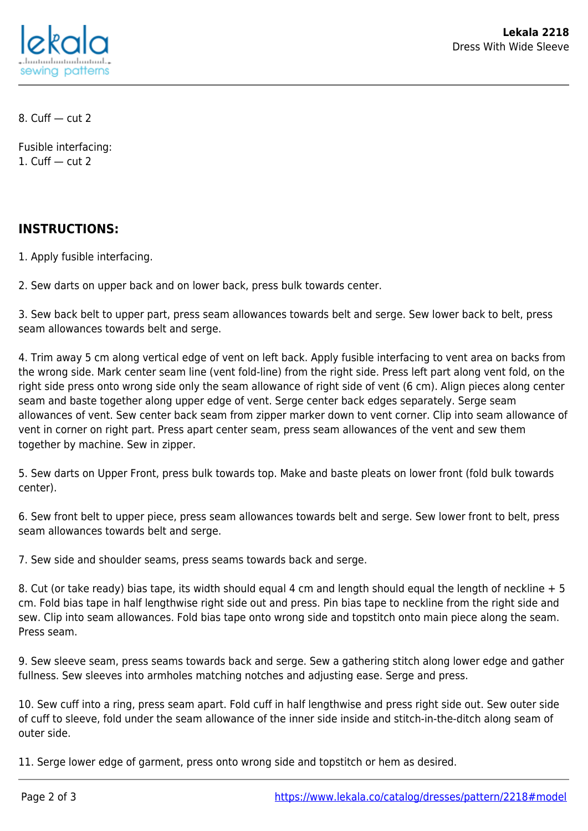

8. Cuff — cut 2

Fusible interfacing: 1. Cuff  $-$  cut 2

### **INSTRUCTIONS:**

1. Apply fusible interfacing.

2. Sew darts on upper back and on lower back, press bulk towards center.

3. Sew back belt to upper part, press seam allowances towards belt and serge. Sew lower back to belt, press seam allowances towards belt and serge.

4. Trim away 5 cm along vertical edge of vent on left back. Apply fusible interfacing to vent area on backs from the wrong side. Mark center seam line (vent fold-line) from the right side. Press left part along vent fold, on the right side press onto wrong side only the seam allowance of right side of vent (6 cm). Align pieces along center seam and baste together along upper edge of vent. Serge center back edges separately. Serge seam allowances of vent. Sew center back seam from zipper marker down to vent corner. Clip into seam allowance of vent in corner on right part. Press apart center seam, press seam allowances of the vent and sew them together by machine. Sew in zipper.

5. Sew darts on Upper Front, press bulk towards top. Make and baste pleats on lower front (fold bulk towards center).

6. Sew front belt to upper piece, press seam allowances towards belt and serge. Sew lower front to belt, press seam allowances towards belt and serge.

7. Sew side and shoulder seams, press seams towards back and serge.

8. Cut (or take ready) bias tape, its width should equal 4 cm and length should equal the length of neckline + 5 cm. Fold bias tape in half lengthwise right side out and press. Pin bias tape to neckline from the right side and sew. Clip into seam allowances. Fold bias tape onto wrong side and topstitch onto main piece along the seam. Press seam.

9. Sew sleeve seam, press seams towards back and serge. Sew a gathering stitch along lower edge and gather fullness. Sew sleeves into armholes matching notches and adjusting ease. Serge and press.

10. Sew cuff into a ring, press seam apart. Fold cuff in half lengthwise and press right side out. Sew outer side of cuff to sleeve, fold under the seam allowance of the inner side inside and stitch-in-the-ditch along seam of outer side.

11. Serge lower edge of garment, press onto wrong side and topstitch or hem as desired.